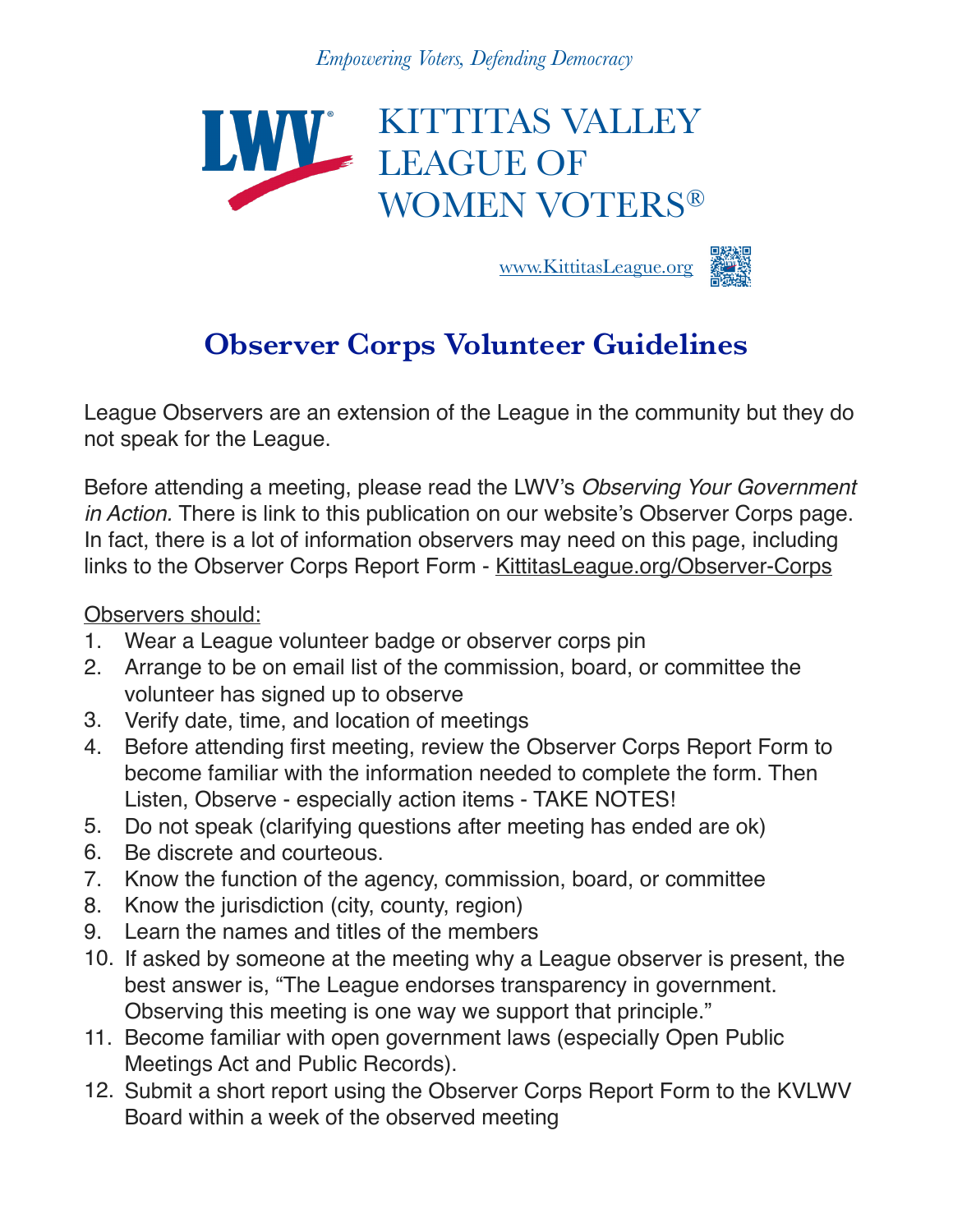*Empowering Voters, Defending Democracy*



www.KittitasLeague.org



## **Observer Corps Volunteer Guidelines**

League Observers are an extension of the League in the community but they do not speak for the League.

Before attending a meeting, please read the LWV's *Observing Your Government in Action.* There is link to this publication on our website's Observer Corps page. In fact, there is a lot of information observers may need on this page, including links to the Observer Corps Report Form - [KittitasLeague.org/Observer-Corps](http://kittitasleague.org/Observer-Corps)

Observers should:

- 1. Wear a League volunteer badge or observer corps pin
- 2. Arrange to be on email list of the commission, board, or committee the volunteer has signed up to observe
- 3. Verify date, time, and location of meetings
- 4. Before attending first meeting, review the Observer Corps Report Form to become familiar with the information needed to complete the form. Then Listen, Observe - especially action items - TAKE NOTES!
- 5. Do not speak (clarifying questions after meeting has ended are ok)
- 6. Be discrete and courteous.
- 7. Know the function of the agency, commission, board, or committee
- 8. Know the jurisdiction (city, county, region)
- 9. Learn the names and titles of the members
- 10. If asked by someone at the meeting why a League observer is present, the best answer is, "The League endorses transparency in government. Observing this meeting is one way we support that principle."
- 11. Become familiar with open government laws (especially Open Public Meetings Act and Public Records).
- 12. Submit a short report using the Observer Corps Report Form to the KVLWV Board within a week of the observed meeting